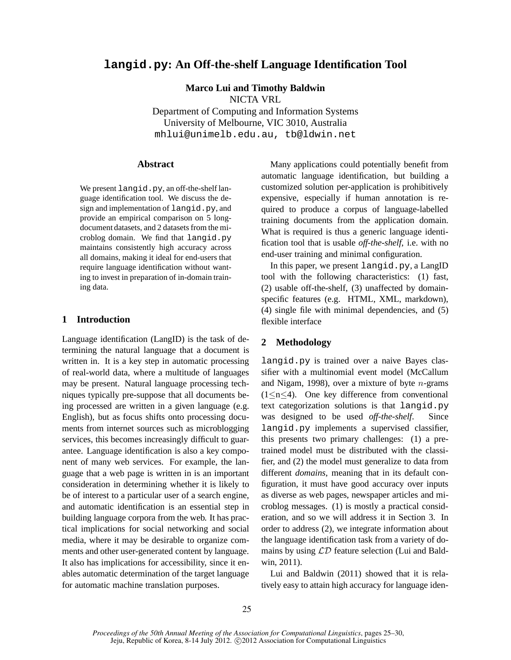# **langid.py: An Off-the-shelf Language Identification Tool**

**Marco Lui and Timothy Baldwin**

NICTA VRL

Department of Computing and Information Systems University of Melbourne, VIC 3010, Australia mhlui@unimelb.edu.au, tb@ldwin.net

## **Abstract**

We present langid.py, an off-the-shelf language identification tool. We discuss the design and implementation of langid.py, and provide an empirical comparison on 5 longdocument datasets, and 2 datasets from the microblog domain. We find that langid.py maintains consistently high accuracy across all domains, making it ideal for end-users that require language identification without wanting to invest in preparation of in-domain training data.

## **1 Introduction**

Language identification (LangID) is the task of determining the natural language that a document is written in. It is a key step in automatic processing of real-world data, where a multitude of languages may be present. Natural language processing techniques typically pre-suppose that all documents being processed are written in a given language (e.g. English), but as focus shifts onto processing documents from internet sources such as microblogging services, this becomes increasingly difficult to guarantee. Language identification is also a key component of many web services. For example, the language that a web page is written in is an important consideration in determining whether it is likely to be of interest to a particular user of a search engine, and automatic identification is an essential step in building language corpora from the web. It has practical implications for social networking and social media, where it may be desirable to organize comments and other user-generated content by language. It also has implications for accessibility, since it enables automatic determination of the target language for automatic machine translation purposes.

Many applications could potentially benefit from automatic language identification, but building a customized solution per-application is prohibitively expensive, especially if human annotation is required to produce a corpus of language-labelled training documents from the application domain. What is required is thus a generic language identification tool that is usable *off-the-shelf*, i.e. with no end-user training and minimal configuration.

In this paper, we present langid.py, a LangID tool with the following characteristics: (1) fast, (2) usable off-the-shelf, (3) unaffected by domainspecific features (e.g. HTML, XML, markdown), (4) single file with minimal dependencies, and (5) flexible interface

### **2 Methodology**

langid.py is trained over a naive Bayes classifier with a multinomial event model (McCallum and Nigam, 1998), over a mixture of byte  $n$ -grams (1≤n≤4). One key difference from conventional text categorization solutions is that langid.py was designed to be used *off-the-shelf*. Since langid.py implements a supervised classifier, this presents two primary challenges: (1) a pretrained model must be distributed with the classifier, and (2) the model must generalize to data from different *domains*, meaning that in its default configuration, it must have good accuracy over inputs as diverse as web pages, newspaper articles and microblog messages. (1) is mostly a practical consideration, and so we will address it in Section 3. In order to address (2), we integrate information about the language identification task from a variety of domains by using  $\mathcal{LD}$  feature selection (Lui and Baldwin, 2011).

Lui and Baldwin (2011) showed that it is relatively easy to attain high accuracy for language iden-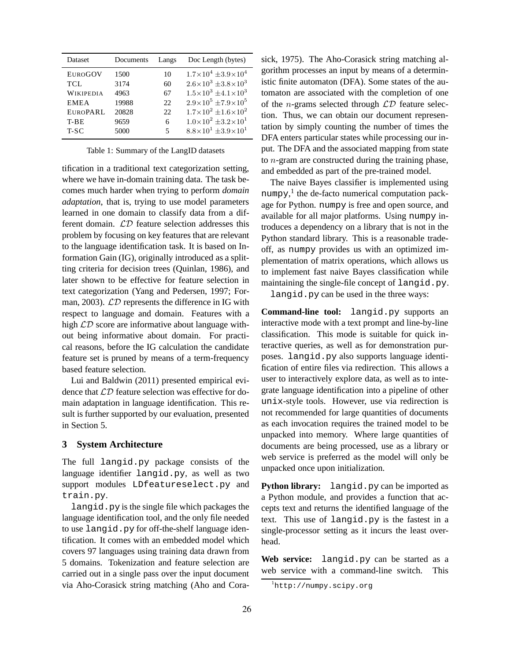| <b>Dataset</b> | Documents | Langs | Doc Length (bytes)                         |
|----------------|-----------|-------|--------------------------------------------|
| <b>EUROGOV</b> | 1500      | 10    | $1.7\times10^4 \pm 3.9\times10^4$          |
| TCL.           | 3174      | 60    | $2.6\times10^3$ $\pm3.8\times10^3$         |
| WIKIPEDIA      | 4963      | 67    | $1.5 \times 10^3 \pm 4.1 \times 10^3$      |
| <b>EMEA</b>    | 19988     | 22.   | $2.9\times10^5$ ±7.9×10 <sup>5</sup>       |
| EUROPARL       | 20828     | 22.   | $1.7\times10^{2} \pm 1.6\times10^{2}$      |
| T-BE           | 9659      | 6     | $1.0\times10^{2}$ $\pm3.2\times10^{1}$     |
| $T-SC$         | 5000      | 5     | $8.8{\times}10^{1}$ $\pm3.9{\times}10^{1}$ |

Table 1: Summary of the LangID datasets

tification in a traditional text categorization setting, where we have in-domain training data. The task becomes much harder when trying to perform *domain adaptation*, that is, trying to use model parameters learned in one domain to classify data from a different domain. LD feature selection addresses this problem by focusing on key features that are relevant to the language identification task. It is based on Information Gain (IG), originally introduced as a splitting criteria for decision trees (Quinlan, 1986), and later shown to be effective for feature selection in text categorization (Yang and Pedersen, 1997; Forman, 2003).  $LD$  represents the difference in IG with respect to language and domain. Features with a high  $\mathcal{LD}$  score are informative about language without being informative about domain. For practical reasons, before the IG calculation the candidate feature set is pruned by means of a term-frequency based feature selection.

Lui and Baldwin (2011) presented empirical evidence that  $\mathcal{LD}$  feature selection was effective for domain adaptation in language identification. This result is further supported by our evaluation, presented in Section 5.

### **3 System Architecture**

The full langid.py package consists of the language identifier langid.py, as well as two support modules LDfeatureselect.py and train.py.

langid.py is the single file which packages the language identification tool, and the only file needed to use langid.py for off-the-shelf language identification. It comes with an embedded model which covers 97 languages using training data drawn from 5 domains. Tokenization and feature selection are carried out in a single pass over the input document via Aho-Corasick string matching (Aho and Corasick, 1975). The Aho-Corasick string matching algorithm processes an input by means of a deterministic finite automaton (DFA). Some states of the automaton are associated with the completion of one of the *n*-grams selected through  $LD$  feature selection. Thus, we can obtain our document representation by simply counting the number of times the DFA enters particular states while processing our input. The DFA and the associated mapping from state to  $n$ -gram are constructed during the training phase, and embedded as part of the pre-trained model.

The naive Bayes classifier is implemented using numpy,<sup>1</sup> the de-facto numerical computation package for Python. numpy is free and open source, and available for all major platforms. Using numpy introduces a dependency on a library that is not in the Python standard library. This is a reasonable tradeoff, as numpy provides us with an optimized implementation of matrix operations, which allows us to implement fast naive Bayes classification while maintaining the single-file concept of langid.py.

langid.py can be used in the three ways:

**Command-line tool:** langid.py supports an interactive mode with a text prompt and line-by-line classification. This mode is suitable for quick interactive queries, as well as for demonstration purposes. langid.py also supports language identification of entire files via redirection. This allows a user to interactively explore data, as well as to integrate language identification into a pipeline of other unix-style tools. However, use via redirection is not recommended for large quantities of documents as each invocation requires the trained model to be unpacked into memory. Where large quantities of documents are being processed, use as a library or web service is preferred as the model will only be unpacked once upon initialization.

**Python library:** langid.py can be imported as a Python module, and provides a function that accepts text and returns the identified language of the text. This use of langid.py is the fastest in a single-processor setting as it incurs the least overhead.

**Web service:** langid.py can be started as a web service with a command-line switch. This

<sup>1</sup>http://numpy.scipy.org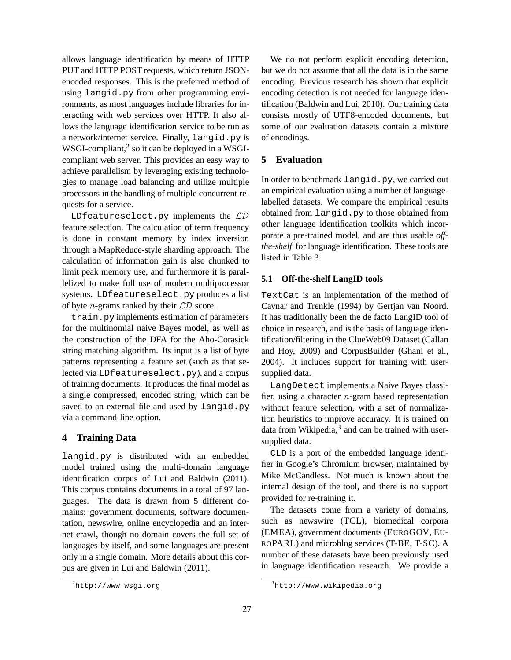allows language identitication by means of HTTP PUT and HTTP POST requests, which return JSONencoded responses. This is the preferred method of using langid.py from other programming environments, as most languages include libraries for interacting with web services over HTTP. It also allows the language identification service to be run as a network/internet service. Finally, langid.py is WSGI-compliant, $^2$  so it can be deployed in a WSGIcompliant web server. This provides an easy way to achieve parallelism by leveraging existing technologies to manage load balancing and utilize multiple processors in the handling of multiple concurrent requests for a service.

LDfeatureselect.py implements the  $LD$ feature selection. The calculation of term frequency is done in constant memory by index inversion through a MapReduce-style sharding approach. The calculation of information gain is also chunked to limit peak memory use, and furthermore it is parallelized to make full use of modern multiprocessor systems. LDfeatureselect.py produces a list of byte *n*-grams ranked by their  $\mathcal{LD}$  score.

train.py implements estimation of parameters for the multinomial naive Bayes model, as well as the construction of the DFA for the Aho-Corasick string matching algorithm. Its input is a list of byte patterns representing a feature set (such as that selected via LDfeatureselect.py), and a corpus of training documents. It produces the final model as a single compressed, encoded string, which can be saved to an external file and used by langid.py via a command-line option.

# **4 Training Data**

langid.py is distributed with an embedded model trained using the multi-domain language identification corpus of Lui and Baldwin (2011). This corpus contains documents in a total of 97 languages. The data is drawn from 5 different domains: government documents, software documentation, newswire, online encyclopedia and an internet crawl, though no domain covers the full set of languages by itself, and some languages are present only in a single domain. More details about this corpus are given in Lui and Baldwin (2011).

# **5 Evaluation**

In order to benchmark langid.py, we carried out an empirical evaluation using a number of languagelabelled datasets. We compare the empirical results obtained from langid.py to those obtained from other language identification toolkits which incorporate a pre-trained model, and are thus usable *offthe-shelf* for language identification. These tools are listed in Table 3.

### **5.1 Off-the-shelf LangID tools**

TextCat is an implementation of the method of Cavnar and Trenkle (1994) by Gertjan van Noord. It has traditionally been the de facto LangID tool of choice in research, and is the basis of language identification/filtering in the ClueWeb09 Dataset (Callan and Hoy, 2009) and CorpusBuilder (Ghani et al., 2004). It includes support for training with usersupplied data.

LangDetect implements a Naive Bayes classifier, using a character  $n$ -gram based representation without feature selection, with a set of normalization heuristics to improve accuracy. It is trained on data from Wikipedia,<sup>3</sup> and can be trained with usersupplied data.

CLD is a port of the embedded language identifier in Google's Chromium browser, maintained by Mike McCandless. Not much is known about the internal design of the tool, and there is no support provided for re-training it.

The datasets come from a variety of domains, such as newswire (TCL), biomedical corpora (EMEA), government documents (EUROGOV, EU-ROPARL) and microblog services (T-BE, T-SC). A number of these datasets have been previously used in language identification research. We provide a

We do not perform explicit encoding detection, but we do not assume that all the data is in the same encoding. Previous research has shown that explicit encoding detection is not needed for language identification (Baldwin and Lui, 2010). Our training data consists mostly of UTF8-encoded documents, but some of our evaluation datasets contain a mixture of encodings.

 $^{2}$ http://www.wsgi.org

 ${}^{3}$ http://www.wikipedia.org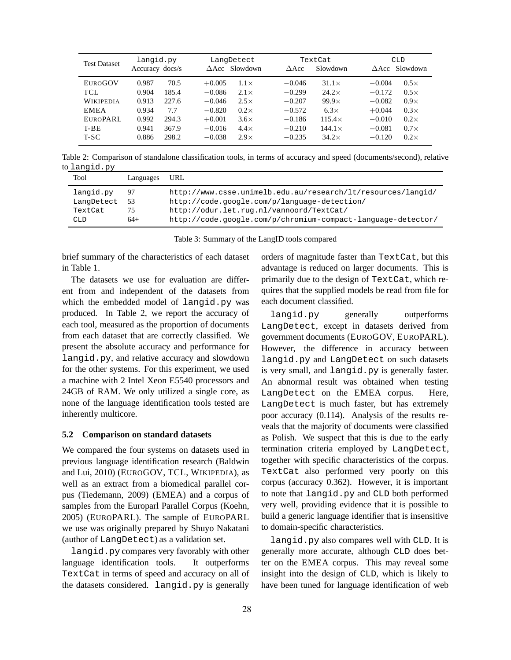| <b>Test Dataset</b>                                                                         | langid.py<br>Accuracy docs/s                                                                                            | LangDetect<br>$\triangle$ Acc Slowdown                                                                                                                                                    | TextCat<br>Slowdown<br>$\triangle$ Acc                                                                                                                                                            | <b>CLD</b><br>$\triangle$ Acc Slowdown                                                                                                                                                    |
|---------------------------------------------------------------------------------------------|-------------------------------------------------------------------------------------------------------------------------|-------------------------------------------------------------------------------------------------------------------------------------------------------------------------------------------|---------------------------------------------------------------------------------------------------------------------------------------------------------------------------------------------------|-------------------------------------------------------------------------------------------------------------------------------------------------------------------------------------------|
| <b>EUROGOV</b><br>TCL<br><b>WIKIPEDIA</b><br><b>EMEA</b><br><b>EUROPARL</b><br>T-BE<br>T-SC | 0.987<br>70.5<br>0.904<br>185.4<br>0.913<br>227.6<br>0.934<br>7.7<br>0.992<br>294.3<br>0.941<br>367.9<br>0.886<br>298.2 | $+0.005$<br>$1.1\times$<br>$-0.086$<br>$2.1\times$<br>$-0.046$<br>$2.5\times$<br>$-0.820$<br>$0.2\times$<br>$+0.001$<br>$3.6\times$<br>$-0.016$<br>$4.4\times$<br>$-0.038$<br>$2.9\times$ | $31.1\times$<br>$-0.046$<br>$-0.299$<br>$24.2\times$<br>$99.9\times$<br>$-0.207$<br>$-0.572$<br>$6.3\times$<br>$-0.186$<br>$115.4\times$<br>$144.1\times$<br>$-0.210$<br>$-0.235$<br>$34.2\times$ | $-0.004$<br>$0.5\times$<br>$-0.172$<br>$0.5\times$<br>$0.9\times$<br>$-0.082$<br>$0.3\times$<br>$+0.044$<br>$0.2\times$<br>$-0.010$<br>$0.7\times$<br>$-0.081$<br>$-0.120$<br>$0.2\times$ |

Table 2: Comparison of standalone classification tools, in terms of accuracy and speed (documents/second), relative to langid.py

| http://www.csse.unimelb.edu.au/research/lt/resources/langid/<br>langid.py<br>97<br>http://code.google.com/p/language-detection/<br>-53<br>LangDetect<br>75<br>http://odur.let.rug.nl/vannoord/TextCat/<br>TextCat<br>http://code.google.com/p/chromium-compact-language-detector/<br>$64+$<br><b>CLD</b> |  |
|----------------------------------------------------------------------------------------------------------------------------------------------------------------------------------------------------------------------------------------------------------------------------------------------------------|--|

Table 3: Summary of the LangID tools compared

brief summary of the characteristics of each dataset in Table 1.

The datasets we use for evaluation are different from and independent of the datasets from which the embedded model of langid.py was produced. In Table 2, we report the accuracy of each tool, measured as the proportion of documents from each dataset that are correctly classified. We present the absolute accuracy and performance for langid.py, and relative accuracy and slowdown for the other systems. For this experiment, we used a machine with 2 Intel Xeon E5540 processors and 24GB of RAM. We only utilized a single core, as none of the language identification tools tested are inherently multicore.

#### **5.2 Comparison on standard datasets**

We compared the four systems on datasets used in previous language identification research (Baldwin and Lui, 2010) (EUROGOV, TCL, WIKIPEDIA), as well as an extract from a biomedical parallel corpus (Tiedemann, 2009) (EMEA) and a corpus of samples from the Europarl Parallel Corpus (Koehn, 2005) (EUROPARL). The sample of EUROPARL we use was originally prepared by Shuyo Nakatani (author of LangDetect) as a validation set.

langid.py compares very favorably with other language identification tools. It outperforms TextCat in terms of speed and accuracy on all of the datasets considered. langid.py is generally orders of magnitude faster than TextCat, but this advantage is reduced on larger documents. This is primarily due to the design of TextCat, which requires that the supplied models be read from file for each document classified.

langid.py generally outperforms LangDetect, except in datasets derived from government documents (EUROGOV, EUROPARL). However, the difference in accuracy between langid.py and LangDetect on such datasets is very small, and langid.py is generally faster. An abnormal result was obtained when testing LangDetect on the EMEA corpus. Here, LangDetect is much faster, but has extremely poor accuracy (0.114). Analysis of the results reveals that the majority of documents were classified as Polish. We suspect that this is due to the early termination criteria employed by LangDetect, together with specific characteristics of the corpus. TextCat also performed very poorly on this corpus (accuracy 0.362). However, it is important to note that langid.py and CLD both performed very well, providing evidence that it is possible to build a generic language identifier that is insensitive to domain-specific characteristics.

langid.py also compares well with CLD. It is generally more accurate, although CLD does better on the EMEA corpus. This may reveal some insight into the design of CLD, which is likely to have been tuned for language identification of web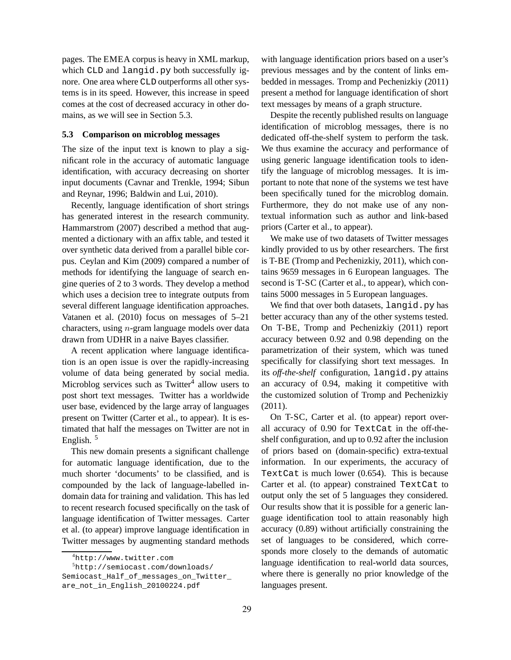pages. The EMEA corpus is heavy in XML markup, which CLD and langid.py both successfully ignore. One area where CLD outperforms all other systems is in its speed. However, this increase in speed comes at the cost of decreased accuracy in other domains, as we will see in Section 5.3.

#### **5.3 Comparison on microblog messages**

The size of the input text is known to play a significant role in the accuracy of automatic language identification, with accuracy decreasing on shorter input documents (Cavnar and Trenkle, 1994; Sibun and Reynar, 1996; Baldwin and Lui, 2010).

Recently, language identification of short strings has generated interest in the research community. Hammarstrom (2007) described a method that augmented a dictionary with an affix table, and tested it over synthetic data derived from a parallel bible corpus. Ceylan and Kim (2009) compared a number of methods for identifying the language of search engine queries of 2 to 3 words. They develop a method which uses a decision tree to integrate outputs from several different language identification approaches. Vatanen et al. (2010) focus on messages of 5–21 characters, using n-gram language models over data drawn from UDHR in a naive Bayes classifier.

A recent application where language identification is an open issue is over the rapidly-increasing volume of data being generated by social media. Microblog services such as Twitter<sup>4</sup> allow users to post short text messages. Twitter has a worldwide user base, evidenced by the large array of languages present on Twitter (Carter et al., to appear). It is estimated that half the messages on Twitter are not in English. <sup>5</sup>

This new domain presents a significant challenge for automatic language identification, due to the much shorter 'documents' to be classified, and is compounded by the lack of language-labelled indomain data for training and validation. This has led to recent research focused specifically on the task of language identification of Twitter messages. Carter et al. (to appear) improve language identification in Twitter messages by augmenting standard methods

with language identification priors based on a user's previous messages and by the content of links embedded in messages. Tromp and Pechenizkiy (2011) present a method for language identification of short text messages by means of a graph structure.

Despite the recently published results on language identification of microblog messages, there is no dedicated off-the-shelf system to perform the task. We thus examine the accuracy and performance of using generic language identification tools to identify the language of microblog messages. It is important to note that none of the systems we test have been specifically tuned for the microblog domain. Furthermore, they do not make use of any nontextual information such as author and link-based priors (Carter et al., to appear).

We make use of two datasets of Twitter messages kindly provided to us by other researchers. The first is T-BE (Tromp and Pechenizkiy, 2011), which contains 9659 messages in 6 European languages. The second is T-SC (Carter et al., to appear), which contains 5000 messages in 5 European languages.

We find that over both datasets, langid.py has better accuracy than any of the other systems tested. On T-BE, Tromp and Pechenizkiy (2011) report accuracy between 0.92 and 0.98 depending on the parametrization of their system, which was tuned specifically for classifying short text messages. In its *off-the-shelf* configuration, langid.py attains an accuracy of 0.94, making it competitive with the customized solution of Tromp and Pechenizkiy (2011).

On T-SC, Carter et al. (to appear) report overall accuracy of 0.90 for TextCat in the off-theshelf configuration, and up to 0.92 after the inclusion of priors based on (domain-specific) extra-textual information. In our experiments, the accuracy of TextCat is much lower (0.654). This is because Carter et al. (to appear) constrained TextCat to output only the set of 5 languages they considered. Our results show that it is possible for a generic language identification tool to attain reasonably high accuracy (0.89) without artificially constraining the set of languages to be considered, which corresponds more closely to the demands of automatic language identification to real-world data sources, where there is generally no prior knowledge of the languages present.

<sup>4</sup>http://www.twitter.com

<sup>5</sup>http://semiocast.com/downloads/

Semiocast\_Half\_of\_messages\_on\_Twitter\_ are\_not\_in\_English\_20100224.pdf